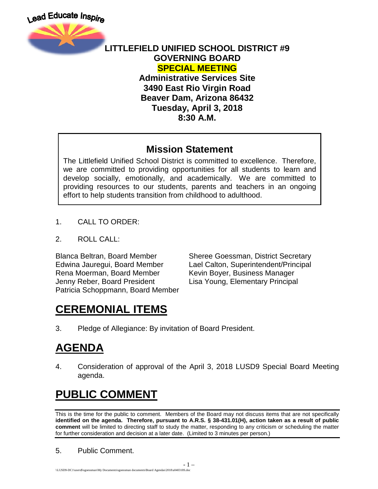

#### **LITTLEFIELD UNIFIED SCHOOL DISTRICT #9 GOVERNING BOARD SPECIAL MEETING**

**Administrative Services Site 3490 East Rio Virgin Road Beaver Dam, Arizona 86432 Tuesday, April 3, 2018 8:30 A.M.**

#### **Mission Statement**

The Littlefield Unified School District is committed to excellence. Therefore, we are committed to providing opportunities for all students to learn and develop socially, emotionally, and academically. We are committed to providing resources to our students, parents and teachers in an ongoing effort to help students transition from childhood to adulthood.

- 1. CALL TO ORDER:
- 2. ROLL CALL:

Rena Moerman, Board Member Kevin Boyer, Business Manager Jenny Reber, Board President Lisa Young, Elementary Principal Patricia Schoppmann, Board Member

Blanca Beltran, Board Member Sheree Goessman, District Secretary Edwina Jauregui, Board Member Lael Calton, Superintendent/Principal

## **CEREMONIAL ITEMS**

3. Pledge of Allegiance: By invitation of Board President.

## **AGENDA**

4. Consideration of approval of the April 3, 2018 LUSD9 Special Board Meeting agenda.

# **PUBLIC COMMENT**

This is the time for the public to comment. Members of the Board may not discuss items that are not specifically **identified on the agenda. Therefore, pursuant to A.R.S. § 38-431.01(H), action taken as a result of public comment** will be limited to directing staff to study the matter, responding to any criticism or scheduling the matter for further consideration and decision at a later date. (Limited to 3 minutes per person.)

5. Public Comment.